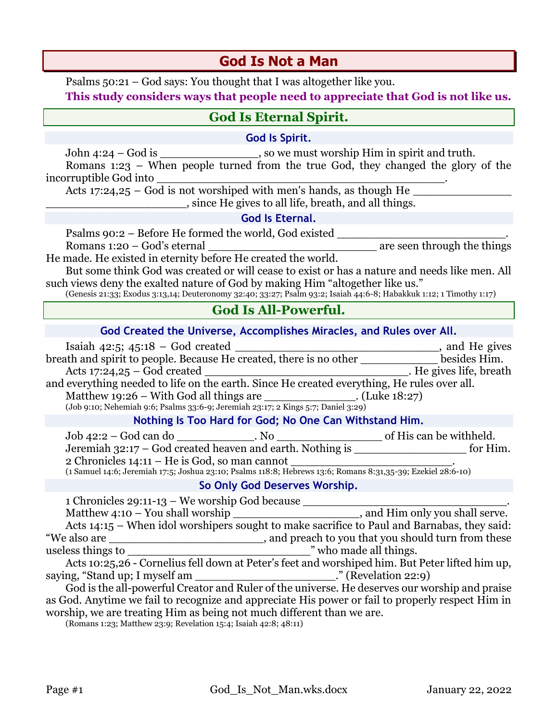# **Nothing Is Too Hard for God; No One Can Withstand Him. So Only God Deserves Worship.** 1 Chronicles 29:11-13 – We worship God because \_\_\_\_\_\_\_\_\_\_\_\_\_\_\_\_\_\_\_\_\_\_\_\_\_\_\_\_\_. Matthew 4:10 – You shall worship  $\overline{\phantom{a}}$ , and Him only you shall serve. Acts 14:15 – When idol worshipers sought to make sacrifice to Paul and Barnabas, they said: We also are **the sum of the set of the set of the set of the set of the set of the set of the set of the set of the set of the set of the set of the set of the set of the set of the set of the set of the set of the set of** useless things to  $\blacksquare$  who made all things. Acts 10:25,26 - Cornelius fell down at Peter's feet and worshiped him. But Peter lifted him up, saying, "Stand up; I myself am \_\_\_\_\_\_\_\_\_\_\_\_\_\_\_\_\_\_\_\_\_\_\_." (Revelation 22:9)

God is the all-powerful Creator and Ruler of the universe. He deserves our worship and praise as God. Anytime we fail to recognize and appreciate His power or fail to properly respect Him in worship, we are treating Him as being not much different than we are.

(Romans 1:23; Matthew 23:9; Revelation 15:4; Isaiah 42:8; 48:11)

# **God Is Not a Man**

Psalms 50:21 – God says: You thought that I was altogether like you.

**This study considers ways that people need to appreciate that God is not like us.**

# **God Is Eternal Spirit.**

### **God Is Spirit.**

John 4:24 – God is so we must worship Him in spirit and truth. Romans 1:23 – When people turned from the true God, they changed the glory of the

incorruptible God into \_\_\_\_\_\_\_\_\_\_\_\_\_\_\_\_\_\_\_\_\_\_\_\_\_\_\_\_\_\_\_\_\_\_\_\_\_\_\_\_\_.

Acts 17:24,25 – God is not worshiped with men's hands, as though He \_\_\_\_\_\_\_\_\_\_\_\_\_\_\_\_\_\_\_\_, since He gives to all life, breath, and all things.

#### **God Is Eternal.**

Psalms 90:2 – Before He formed the world, God existed Romans  $1:20 - God's$  eternal are seen through the things

He made. He existed in eternity before He created the world.

But some think God was created or will cease to exist or has a nature and needs like men. All such views deny the exalted nature of God by making Him "altogether like us."

(Genesis 21:33; Exodus 3:13,14; Deuteronomy 32:40; 33:27; Psalm 93:2; Isaiah 44:6-8; Habakkuk 1:12; 1 Timothy 1:17)

## **God Is All-Powerful.**

| God Created the Universe, Accomplishes Miracles, and Rules over All.                        |                         |
|---------------------------------------------------------------------------------------------|-------------------------|
| Isaiah 42:5; 45:18 - God created                                                            | and He gives            |
| breath and spirit to people. Because He created, there is no other                          | besides Him.            |
| Acts $17:24,25 - God created$                                                               | . He gives life, breath |
| and everything needed to life on the earth. Since He created everything, He rules over all. |                         |
| Matthew 19:26 – With God all things are<br>. (Luke $18:27$ )                                |                         |
| (Job 9:10; Nehemiah 9:6; Psalms 33:6-9; Jeremiah 23:17; 2 Kings 5:7; Daniel 3:29)           |                         |

Job 42:2 – God can do  $\qquad \qquad$  No  $\qquad \qquad$  of His can be withheld. Jeremiah 32:17 – God created heaven and earth. Nothing is \_\_\_\_\_\_\_\_\_\_\_\_\_\_\_\_ for Him. 2 Chronicles 14:11 – He is God, so man cannot \_\_\_\_\_\_\_\_\_\_\_\_\_\_\_\_\_\_\_\_\_\_\_\_\_\_\_\_.

(1 Samuel 14:6; Jeremiah 17:5; Joshua 23:10; Psalms 118:8; Hebrews 13:6; Romans 8:31,35-39; Ezekiel 28:6-10)